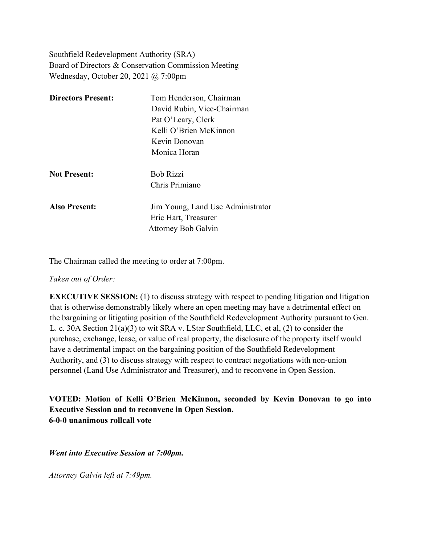Southfield Redevelopment Authority (SRA) Board of Directors & Conservation Commission Meeting Wednesday, October 20, 2021 @ 7:00pm

| <b>Directors Present:</b> | Tom Henderson, Chairman           |
|---------------------------|-----------------------------------|
|                           | David Rubin, Vice-Chairman        |
|                           | Pat O'Leary, Clerk                |
|                           | Kelli O'Brien McKinnon            |
|                           | Kevin Donovan                     |
|                           | Monica Horan                      |
| <b>Not Present:</b>       | <b>Bob Rizzi</b>                  |
|                           | Chris Primiano                    |
| <b>Also Present:</b>      | Jim Young, Land Use Administrator |
|                           | Eric Hart, Treasurer              |
|                           | <b>Attorney Bob Galvin</b>        |

The Chairman called the meeting to order at 7:00pm.

## *Taken out of Order:*

**EXECUTIVE SESSION:** (1) to discuss strategy with respect to pending litigation and litigation that is otherwise demonstrably likely where an open meeting may have a detrimental effect on the bargaining or litigating position of the Southfield Redevelopment Authority pursuant to Gen. L. c. 30A Section 21(a)(3) to wit SRA v. LStar Southfield, LLC, et al, (2) to consider the purchase, exchange, lease, or value of real property, the disclosure of the property itself would have a detrimental impact on the bargaining position of the Southfield Redevelopment Authority, and (3) to discuss strategy with respect to contract negotiations with non-union personnel (Land Use Administrator and Treasurer), and to reconvene in Open Session.

**VOTED: Motion of Kelli O'Brien McKinnon, seconded by Kevin Donovan to go into Executive Session and to reconvene in Open Session. 6-0-0 unanimous rollcall vote** 

*Went into Executive Session at 7:00pm.*

*Attorney Galvin left at 7:49pm.*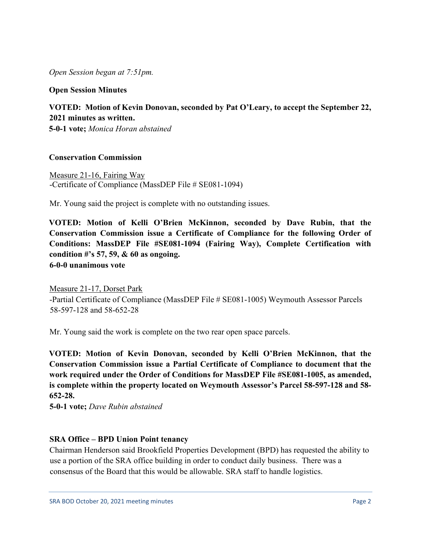*Open Session began at 7:51pm.*

**Open Session Minutes**

## **VOTED: Motion of Kevin Donovan, seconded by Pat O'Leary, to accept the September 22, 2021 minutes as written.**

**5-0-1 vote;** *Monica Horan abstained*

## **Conservation Commission**

Measure 21-16, Fairing Way -Certificate of Compliance (MassDEP File # SE081-1094)

Mr. Young said the project is complete with no outstanding issues.

**VOTED: Motion of Kelli O'Brien McKinnon, seconded by Dave Rubin, that the Conservation Commission issue a Certificate of Compliance for the following Order of Conditions: MassDEP File #SE081-1094 (Fairing Way), Complete Certification with condition #'s 57, 59, & 60 as ongoing. 6-0-0 unanimous vote**

Measure 21-17, Dorset Park -Partial Certificate of Compliance (MassDEP File # SE081-1005) Weymouth Assessor Parcels 58-597-128 and 58-652-28

Mr. Young said the work is complete on the two rear open space parcels.

**VOTED: Motion of Kevin Donovan, seconded by Kelli O'Brien McKinnon, that the Conservation Commission issue a Partial Certificate of Compliance to document that the work required under the Order of Conditions for MassDEP File #SE081-1005, as amended, is complete within the property located on Weymouth Assessor's Parcel 58-597-128 and 58- 652-28.**

**5-0-1 vote;** *Dave Rubin abstained*

## **SRA Office – BPD Union Point tenancy**

Chairman Henderson said Brookfield Properties Development (BPD) has requested the ability to use a portion of the SRA office building in order to conduct daily business. There was a consensus of the Board that this would be allowable. SRA staff to handle logistics.